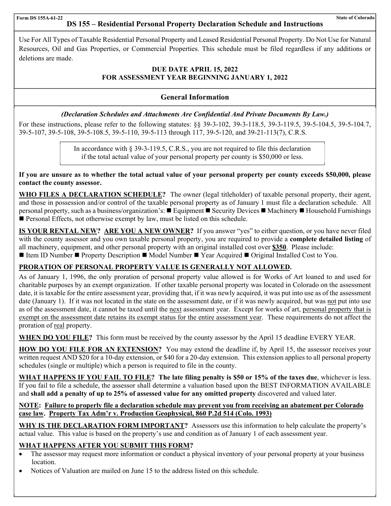# **DS 155 – Residential Personal Property Declaration Schedule and Instructions**

 Use For All Types of Taxable Residential Personal Property and Leased Residential Personal Property. Do Not Use for Natural Resources, Oil and Gas Properties, or Commercial Properties. This schedule must be filed regardless if any additions or deletions are made.

### **DUE DATE APRIL 15, 2022 FOR ASSESSMENT YEAR BEGINNING JANUARY 1, 2022**

# **General Information**

### *(Declaration Schedules and Attachments Are Confidential And Private Documents By Law.)*

For these instructions, please refer to the following statutes: §§ 39-3-102, 39-3-118.5, 39-3-119.5, 39-5-104.5, 39-5-104.7, 39-5-107, 39-5-108, 39-5-108.5, 39-5-110, 39-5-113 through 117, 39-5-120, and 39-21-113(7), C.R.S.

> In accordance with § 39-3-119.5, C.R.S., you are not required to file this declaration if the total actual value of your personal property per county is \$50,000 or less.

**If you are unsure as to whether the total actual value of your personal property per county exceeds \$50,000, please contact the county assessor.** 

**WHO FILES A DECLARATION SCHEDULE?** The owner (legal titleholder) of taxable personal property, their agent, and those in possession and/or control of the taxable personal property as of January 1 must file a declaration schedule. All personal property, such as a business/organization's: ■ Equipment ■ Security Devices ■ Machinery ■ Household Furnishings Personal Effects, not otherwise exempt by law, must be listed on this schedule.

**IS YOUR RENTAL NEW? ARE YOU A NEW OWNER?** If you answer "yes" to either question, or you have never filed with the county assessor and you own taxable personal property, you are required to provide a **complete detailed listing** of all machinery, equipment, and other personal property with an original installed cost over **\$350**. Please include: Iftem ID Number **I** Property Description **I** Model Number **I** Year Acquired **I** Original Installed Cost to You.

# **PRORATION OF PERSONAL PROPERTY VALUE IS GENERALLY NOT ALLOWED.**

As of January 1, 1996, the only proration of personal property value allowed is for Works of Art loaned to and used for charitable purposes by an exempt organization. If other taxable personal property was located in Colorado on the assessment date, it is taxable for the entire assessment year, providing that, if it was newly acquired, it was put into use as of the assessment date (January 1). If it was not located in the state on the assessment date, or if it was newly acquired, but was not put into use as of the assessment date, it cannot be taxed until the next assessment year. Except for works of art, personal property that is exempt on the assessment date retains its exempt status for the entire assessment year. These requirements do not affect the proration of real property.

**WHEN DO YOU FILE?** This form must be received by the county assessor by the April 15 deadline EVERY YEAR.

**HOW DO YOU FILE FOR AN EXTENSION?** You may extend the deadline if, by April 15, the assessor receives your written request AND \$20 for a 10-day extension, or \$40 for a 20-day extension. This extension applies to all personal property schedules (single or multiple) which a person is required to file in the county.

**WHAT HAPPENS IF YOU FAIL TO FILE? The late filing penalty is \$50 or 15% of the taxes due**, whichever is less. If you fail to file a schedule, the assessor shall determine a valuation based upon the BEST INFORMATION AVAILABLE and **shall add a penalty of up to 25% of assessed value for any omitted property** discovered and valued later.

## **NOTE: Failure to properly file a declaration schedule may prevent you from receiving an abatement per Colorado case law. Property Tax Adm'r v. Production Geophysical, 860 P.2d 514 (Colo. 1993)**

**WHY IS THE DECLARATION FORM IMPORTANT?** Assessors use this information to help calculate the property's actual value. This value is based on the property's use and condition as of January 1 of each assessment year.

## **WHAT HAPPENS AFTER YOU SUBMIT THIS FORM?**

- The assessor may request more information or conduct a physical inventory of your personal property at your business location.
- Notices of Valuation are mailed on June 15 to the address listed on this schedule.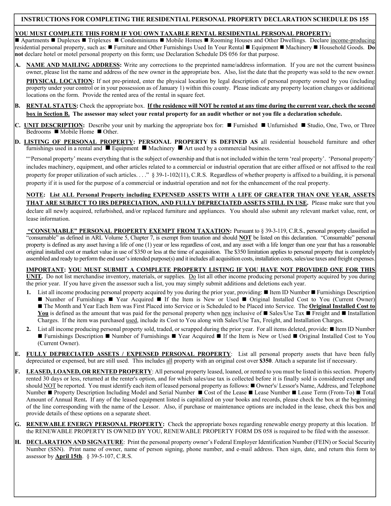#### **INSTRUCTIONS FOR COMPLETING THE RESIDENTIAL PERSONAL PROPERTY DECLARATION SCHEDULE DS 155**

# **YOU MUST COMPLETE THIS FORM IF YOU OWN TAXABLE RENTAL RESIDENTIAL PERSONAL PROPERTY:**

■ Apartments ■ Duplexes ■ Triplexes ■ Condominiums ■ Mobile Homes ■ Rooming Houses and Other Dwellings. Declare income-producing residential personal property, such as: Furniture and Other Furnishings Used In Your Rental Equipment Machinery Household Goods. **Do not** declare hotel or motel personal property on this form; use Declaration Schedule DS 056 for that purpose.

- **A. NAME AND MAILING ADDRESS:** Write any corrections to the preprinted name/address information. If you are not the current business owner, please list the name and address of the new owner in the appropriate box. Also, list the date that the property was sold to the new owner. **PHYSICAL LOCATION:** If not pre-printed, enter the physical location by legal description of personal property owned by you (including property under your control or in your possession as of January 1) within this county. Please indicate any property location changes or additional locations on the form. Provide the rented area of the rental in square feet.
- **B. RENTAL STATUS:** Check the appropriate box. **If the residence will NOT be rented at any time during the current year, check the second box in Section B. The assessor may select your rental property for an audit whether or not you file a declaration schedule.**
- **C. UNIT DESCRIPTION:** Describe your unit by marking the appropriate box for: **Furnished I** Unfurnished **E** Studio, One, Two, or Three Bedrooms  $\blacksquare$  Mobile Home  $\blacksquare$  Other.
- **D. LISTING OF PERSONAL PROPERTY: PERSONAL PROPERTY IS DEFINED AS** all residential household furniture and other furnishings used in a rental and  $\blacksquare$  Equipment  $\blacksquare$  Machinery  $\blacksquare$  Art used by a commercial business.

"'Personal property' means everything that is the subject of ownership and that is not included within the term 'real property'. 'Personal property' includes machinery, equipment, and other articles related to a commercial or industrial operation that are either affixed or not affixed to the real property for proper utilization of such articles.  $\ldots$ " § 39-1-102(11), C.R.S. Regardless of whether property is affixed to a building, it is personal property if it is used for the purpose of a commercial or industrial operation and not for the enhancement of the real property.

**NOTE: List ALL Personal Property including EXPENSED ASSETS WITH A LIFE OF GREATER THAN ONE YEAR, ASSETS THAT ARE SUBJECT TO IRS DEPRECIATION, AND FULLY DEPRECIATED ASSETS STILL IN USE.** Please make sure that you declare all newly acquired, refurbished, and/or replaced furniture and appliances. You should also submit any relevant market value, rent, or lease information.

 **"CONSUMABLE" PERSONAL PROPERTY EXEMPT FROM TAXATION:** Pursuant to § 39-3-119, C.R.S., personal property classified as "consumable" as defined in ARL Volume 5, Chapter 7, is exempt from taxation and should **NOT** be listed on this declaration. "Consumable" personal property is defined as any asset having a life of one (1) year or less regardless of cost, and any asset with a life longer than one year that has a reasonable original installed cost or market value in use of \$350 or less at the time of acquisition. The \$350 limitation applies to personal property that is completely assembled and ready to perform the end user's intended purpose(s) and it includes all acquisition costs, installation costs, sales/use taxes and freight expenses.

**IMPORTANT: YOU MUST SUBMIT A COMPLETE PROPERTY LISTING IF YOU HAVE NOT PROVIDED ONE FOR THIS** 

**UNIT.** Do not list merchandise inventory, materials, or supplies. Do list all other income producing personal property acquired by you during the prior year. If you have given the assessor such a list, you may simply submit additions and deletions each year.

- 1. List all income producing personal property acquired by you during the prior year, providing: **I** Item ID Number **F**urnishings Description Number of Furnishings  $\blacksquare$  Year Acquired  $\blacksquare$  If the Item is New or Used  $\blacksquare$  Original Installed Cost to You (Current Owner) ■ The Month and Year Each Item was First Placed into Service or is Scheduled to be Placed into Service. The **Original Installed Cost to** You is defined as the amount that was paid for the personal property when  $\frac{new}{new}$  inclusive of  $\blacksquare$  Sales/Use Tax  $\blacksquare$  Freight and  $\blacksquare$  Installation Charges. If the item was purchased used, include its Cost to You along with Sales/Use Tax, Freight, and Installation Charges.
- **2.** List all income producing personal property sold, traded, or scrapped during the prior year. For all items deleted, provide: Item ID Number Furnishings Description  $\blacksquare$  Number of Furnishings  $\blacksquare$  Year Acquired  $\blacksquare$  If the Item is New or Used  $\blacksquare$  Original Installed Cost to You (Current Owner).
- **E. FULLY DEPRECIATED ASSETS / EXPENSED PERSONAL PROPERTY**: List all personal property assets that have been fully depreciated or expensed, but are still used. This includes all property with an original cost over **\$350**. Attach a separate list if necessary.
- **F. LEASED, LOANED, OR RENTED PROPERTY**: All personal property leased, loaned, or rented to you must be listed in this section. Property rented 30 days or less, returned at the renter's option, and for which sales/use tax is collected before it is finally sold is considered exempt and should NOT be reported. You must identify each item of leased personal property as follows: Owner's/ Lessor's Name, Address, and Telephone Number ■ Property Description Including Model and Serial Number ■ Cost of the Lease ■ Lease Number ■ Lease Term (From-To) ■ Total Amount of Annual Rent**.** If any of the leased equipment listed is capitalized on your books and records, please check the box at the beginning of the line corresponding with the name of the Lessor. Also, if purchase or maintenance options are included in the lease, check this box and provide details of these options on a separate sheet.
- **G. RENEWABLE ENERGY PERSONAL PROPERTY:** Check the appropriate boxes regarding renewable energy property at this location. If the RENEWABLE PROPERTY IS OWNED BY YOU, RENEWABLE PROPERTY FORM DS 058 is required to be filed with the assessor.
- **H. DECLARATION AND SIGNATURE**: Print the personal property owner's Federal Employer Identification Number (FEIN) or Social Security Number (SSN). Print name of owner, name of person signing, phone number, and e-mail address. Then sign, date, and return this form to assessor by **April 15th**. § 39-5-107, C.R.S.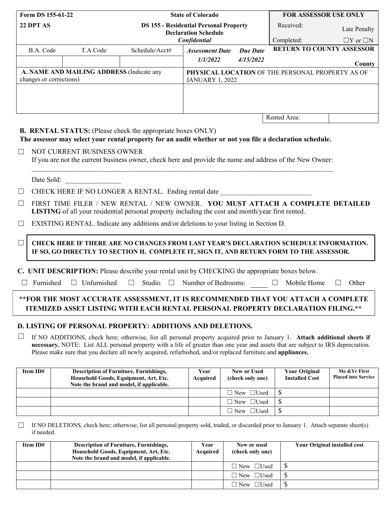| Form DS 155-61-22                                                                                                                                                                             |                            |                                                                                                                                                                                 | <b>State of Colorado</b>                                                   | <b>FOR ASSESSOR USE ONLY</b> |                                  |                      |  |
|-----------------------------------------------------------------------------------------------------------------------------------------------------------------------------------------------|----------------------------|---------------------------------------------------------------------------------------------------------------------------------------------------------------------------------|----------------------------------------------------------------------------|------------------------------|----------------------------------|----------------------|--|
| 22 DPT AS                                                                                                                                                                                     |                            | <b>DS 155 - Residential Personal Property</b><br><b>Declaration Schedule</b>                                                                                                    |                                                                            |                              | Received:                        | Late Penalty         |  |
|                                                                                                                                                                                               |                            |                                                                                                                                                                                 | Confidential                                                               |                              | Completed:                       | $\Box Y$ or $\Box N$ |  |
| B.A. Code                                                                                                                                                                                     | T.A Code                   | Schedule/Acct#                                                                                                                                                                  | <b>Assessment Date</b>                                                     | <b>Due Date</b>              | <b>RETURN TO COUNTY ASSESSOR</b> |                      |  |
|                                                                                                                                                                                               |                            |                                                                                                                                                                                 | 1/1/2022                                                                   | 4/15/2022                    |                                  | <b>County</b>        |  |
| A. NAME AND MAILING ADDRESS (Indicate any<br>changes or corrections)                                                                                                                          |                            |                                                                                                                                                                                 | PHYSICAL LOCATION OF THE PERSONAL PROPERTY AS OF<br><b>JANUARY 1, 2022</b> |                              |                                  |                      |  |
|                                                                                                                                                                                               |                            |                                                                                                                                                                                 |                                                                            |                              |                                  |                      |  |
|                                                                                                                                                                                               |                            |                                                                                                                                                                                 |                                                                            |                              | Rented Area:                     |                      |  |
|                                                                                                                                                                                               |                            |                                                                                                                                                                                 |                                                                            |                              |                                  |                      |  |
|                                                                                                                                                                                               |                            | <b>B. RENTAL STATUS:</b> (Please check the appropriate boxes ONLY)<br>The assessor may select your rental property for an audit whether or not you file a declaration schedule. |                                                                            |                              |                                  |                      |  |
| $\Box$                                                                                                                                                                                        | NOT CURRENT BUSINESS OWNER | If you are not the current business owner, check here and provide the name and address of the New Owner:                                                                        |                                                                            |                              |                                  |                      |  |
|                                                                                                                                                                                               | Date Sold:                 |                                                                                                                                                                                 |                                                                            |                              |                                  |                      |  |
| $\Box$                                                                                                                                                                                        |                            | CHECK HERE IF NO LONGER A RENTAL. Ending rental date                                                                                                                            |                                                                            |                              |                                  |                      |  |
| FIRST TIME FILER / NEW RENTAL / NEW OWNER. YOU MUST ATTACH A COMPLETE DETAILED<br>$\Box$<br>LISTING of all your residential personal property including the cost and month/year first rented. |                            |                                                                                                                                                                                 |                                                                            |                              |                                  |                      |  |
| EXISTING RENTAL. Indicate any additions and/or deletions to your listing in Section D.<br>$\Box$                                                                                              |                            |                                                                                                                                                                                 |                                                                            |                              |                                  |                      |  |
| CHECK HERE IF THERE ARE NO CHANGES FROM LAST YEAR'S DECLARATION SCHEDULE INFORMATION.<br>$\Box$<br>IF SO, GO DIRECTLY TO SECTION H. COMPLETE IT, SIGN IT, AND RETURN FORM TO THE ASSESSOR.    |                            |                                                                                                                                                                                 |                                                                            |                              |                                  |                      |  |
| C. UNIT DESCRIPTION: Please describe your rental unit by CHECKING the appropriate boxes below.                                                                                                |                            |                                                                                                                                                                                 |                                                                            |                              |                                  |                      |  |
| Furnished<br>$\Box$ Unfurnished<br>$\Box$ Studio<br>Number of Bedrooms:<br>Mobile Home<br>$\Box$<br>Other<br>$\Box$<br>$\perp$                                                                |                            |                                                                                                                                                                                 |                                                                            |                              |                                  |                      |  |
| **FOR THE MOST ACCURATE ASSESSMENT, IT IS RECOMMENDED THAT YOU ATTACH A COMPLETE<br>ITEMIZED ASSET LISTING WITH EACH RENTAL PERSONAL PROPERTY DECLARATION FILING.**                           |                            |                                                                                                                                                                                 |                                                                            |                              |                                  |                      |  |
|                                                                                                                                                                                               |                            | D. LISTING OF PERSONAL PROPERTY: ADDITIONS AND DELETIONS.                                                                                                                       |                                                                            |                              |                                  |                      |  |
|                                                                                                                                                                                               |                            | If NO ADDITIONS, check here; otherwise, list all personal property acquired prior to January 1. Attach additional sheets if                                                     |                                                                            |                              |                                  |                      |  |

**necessary.** NOTE: List ALL personal property with a life of greater than one year and assets that are subject to IRS depreciation. Please make sure that you declare all newly acquired, refurbished, and/or replaced furniture and **appliances.**

| Item ID# | <b>Description of Furniture, Furnishings,</b><br>Household Goods, Equipment, Art, Etc.<br>Note the brand and model, if applicable. | Year<br><b>Acquired</b> | New or Used<br>(check only one) | <b>Your Original</b><br><b>Installed Cost</b> | Mo & Yr First<br><b>Placed into Service</b> |
|----------|------------------------------------------------------------------------------------------------------------------------------------|-------------------------|---------------------------------|-----------------------------------------------|---------------------------------------------|
|          |                                                                                                                                    |                         | $\Box$ New $\Box$ Used          | D                                             |                                             |
|          |                                                                                                                                    |                         | $\Box$ New $\Box$ Used          | - 75                                          |                                             |
|          |                                                                                                                                    |                         | $\Box$ New $\Box$ Used          |                                               |                                             |

If NO DELETIONS, check here; otherwise, list all personal property sold, traded, or discarded prior to January 1. Attach separate sheet(s) if needed.  $\Box$ 

| Item ID# | <b>Description of Furniture, Furnishings,</b><br>Household Goods, Equipment, Art, Etc.<br>Note the brand and model, if applicable. | Year<br>Acquired | New or used<br>(check only one) | <b>Your Original installed cost</b> |
|----------|------------------------------------------------------------------------------------------------------------------------------------|------------------|---------------------------------|-------------------------------------|
|          |                                                                                                                                    |                  | New □Used                       |                                     |
|          |                                                                                                                                    |                  | $\exists$ New $\Box$ Used       |                                     |
|          |                                                                                                                                    |                  | $\forall$ New $\Box$ Used       |                                     |